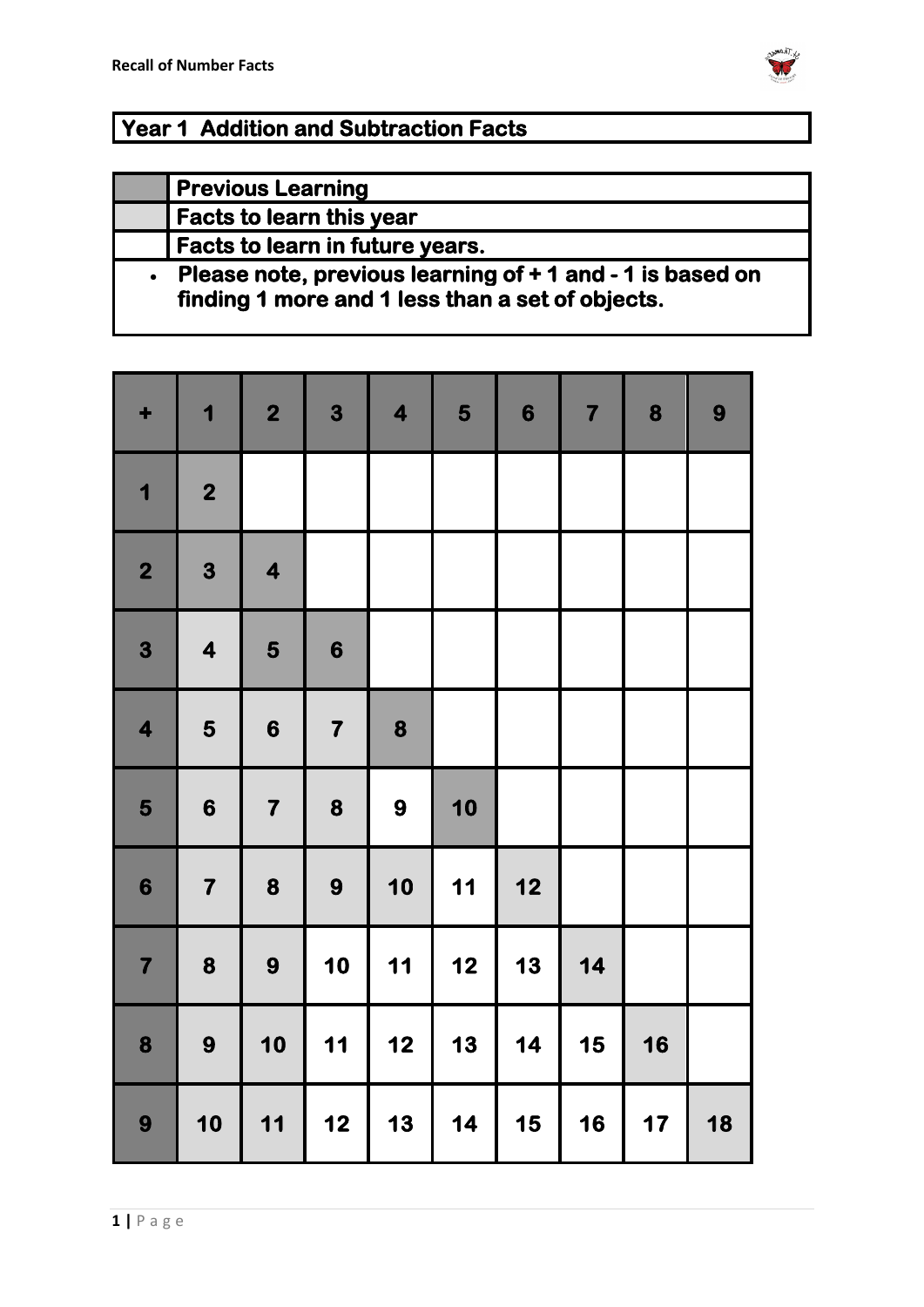

### **Year 1 Addition and Subtraction Facts**

| <b>Previous Learning</b>                                                                                      |
|---------------------------------------------------------------------------------------------------------------|
| <b>Facts to learn this year</b>                                                                               |
| <b>Facts to learn in future years.</b>                                                                        |
| Please note, previous learning of + 1 and - 1 is based on<br>finding 1 more and 1 less than a set of objects. |

| ٠                       | 1                       | $\overline{\mathbf{2}}$ | 3                       | $\overline{\mathbf{4}}$ | 5    | $\boldsymbol{6}$ | $\overline{\mathbf{7}}$ | 8  | 9  |
|-------------------------|-------------------------|-------------------------|-------------------------|-------------------------|------|------------------|-------------------------|----|----|
| 1                       | $\overline{\mathbf{2}}$ |                         |                         |                         |      |                  |                         |    |    |
| $\overline{\mathbf{2}}$ | 3                       | $\overline{\mathbf{4}}$ |                         |                         |      |                  |                         |    |    |
| 3                       | $\overline{\mathbf{4}}$ | 5                       | $\boldsymbol{6}$        |                         |      |                  |                         |    |    |
| $\overline{\mathbf{4}}$ | 5                       | $\boldsymbol{6}$        | $\overline{\mathbf{7}}$ | 8                       |      |                  |                         |    |    |
| 5                       | $\boldsymbol{6}$        | $\overline{\mathbf{7}}$ | 8                       | 9                       | 10   |                  |                         |    |    |
| $\boldsymbol{6}$        | $\overline{\mathbf{7}}$ | 8                       | 9                       | 10                      | $11$ | $12$             |                         |    |    |
| $\overline{\mathbf{7}}$ | 8                       | 9                       | 10                      | $11$                    | $12$ | 13               | $14$                    |    |    |
| 8                       | 9                       | 10                      | $11$                    | 12                      | 13   | 14               | 15                      | 16 |    |
| 9                       | 10                      | 11                      | 12                      | 13                      | 14   | 15               | 16                      | 17 | 18 |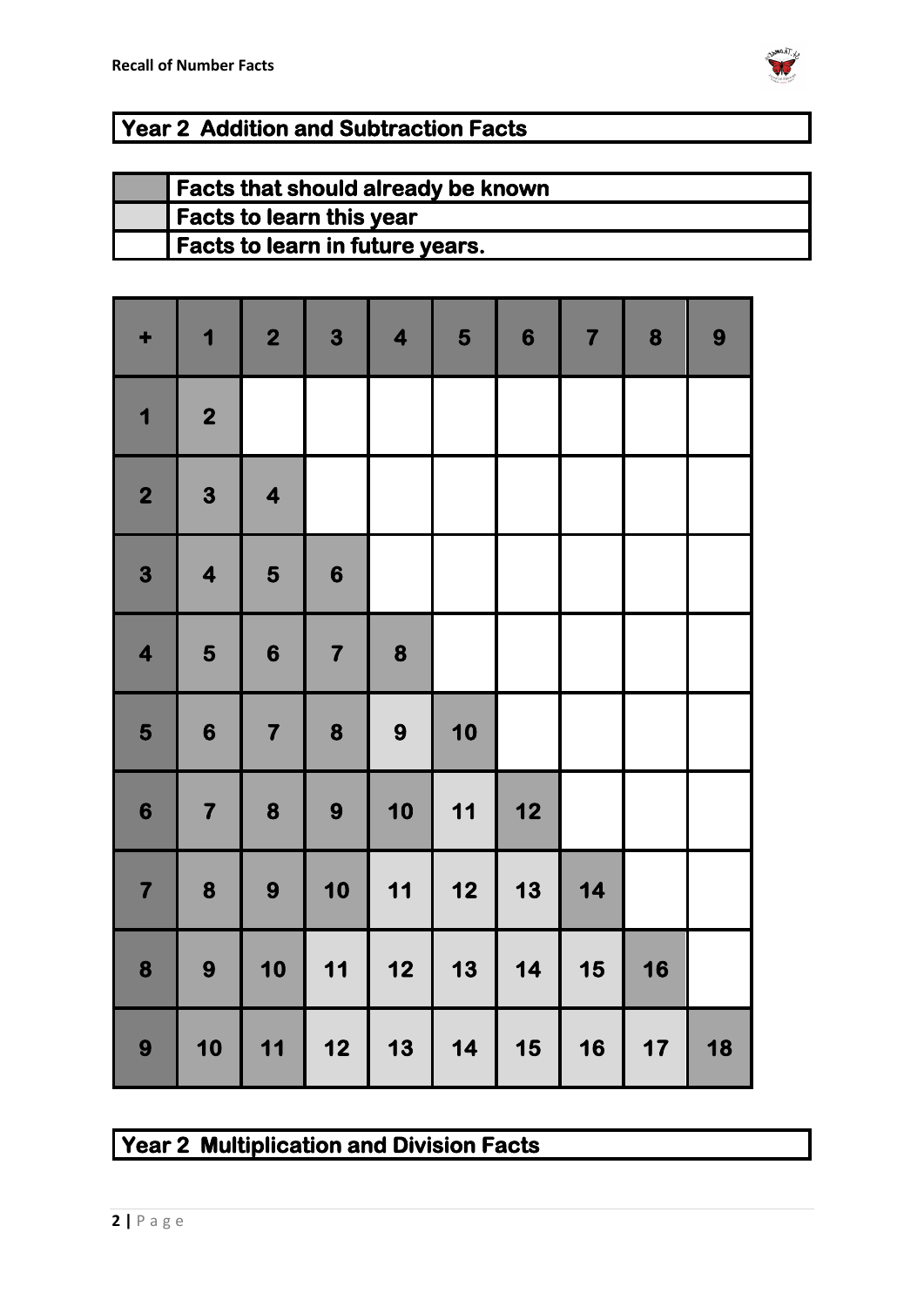

## **Year 2 Addition and Subtraction Facts**

| Facts that should already be known |
|------------------------------------|
| Facts to learn this year           |
| Facts to learn in future years.    |

| ٠                       | 1                       | $\overline{\mathbf{2}}$ | $\mathbf{3}$                                     | $\overline{\mathbf{4}}$ | 5    | $\boldsymbol{6}$ | $\overline{\mathbf{7}}$ | 8    | 9  |
|-------------------------|-------------------------|-------------------------|--------------------------------------------------|-------------------------|------|------------------|-------------------------|------|----|
| $\overline{\mathbf{1}}$ | $\overline{\mathbf{2}}$ |                         |                                                  |                         |      |                  |                         |      |    |
| $\overline{\mathbf{2}}$ | 3                       | $\overline{\mathbf{4}}$ |                                                  |                         |      |                  |                         |      |    |
| 3                       | $\overline{\mathbf{4}}$ | 5                       | $\boldsymbol{6}$                                 |                         |      |                  |                         |      |    |
| $\overline{\mathbf{4}}$ | 5                       | $\boldsymbol{6}$        | $\overline{\mathbf{7}}$                          | 8                       |      |                  |                         |      |    |
| 5                       | $\boldsymbol{6}$        | $\overline{\mathbf{7}}$ | 8                                                | 9                       | 10   |                  |                         |      |    |
| $\boldsymbol{6}$        | $\overline{\mathbf{7}}$ | 8                       | 9                                                | 10                      | 11   | $12$             |                         |      |    |
| $\overline{\mathbf{7}}$ | 8                       | 9                       | 10                                               | 11                      | $12$ | 13               | 14                      |      |    |
| 8                       | 9                       | 10                      | 11                                               | $12$                    | 13   | 14               | 15                      | 16   |    |
| 9                       | 10                      | 11                      | $\begin{array}{c} \n \textbf{12} \n \end{array}$ | 13                      | 14   | 15               | 16                      | $17$ | 18 |

#### **Year 2 Multiplication and Division Facts**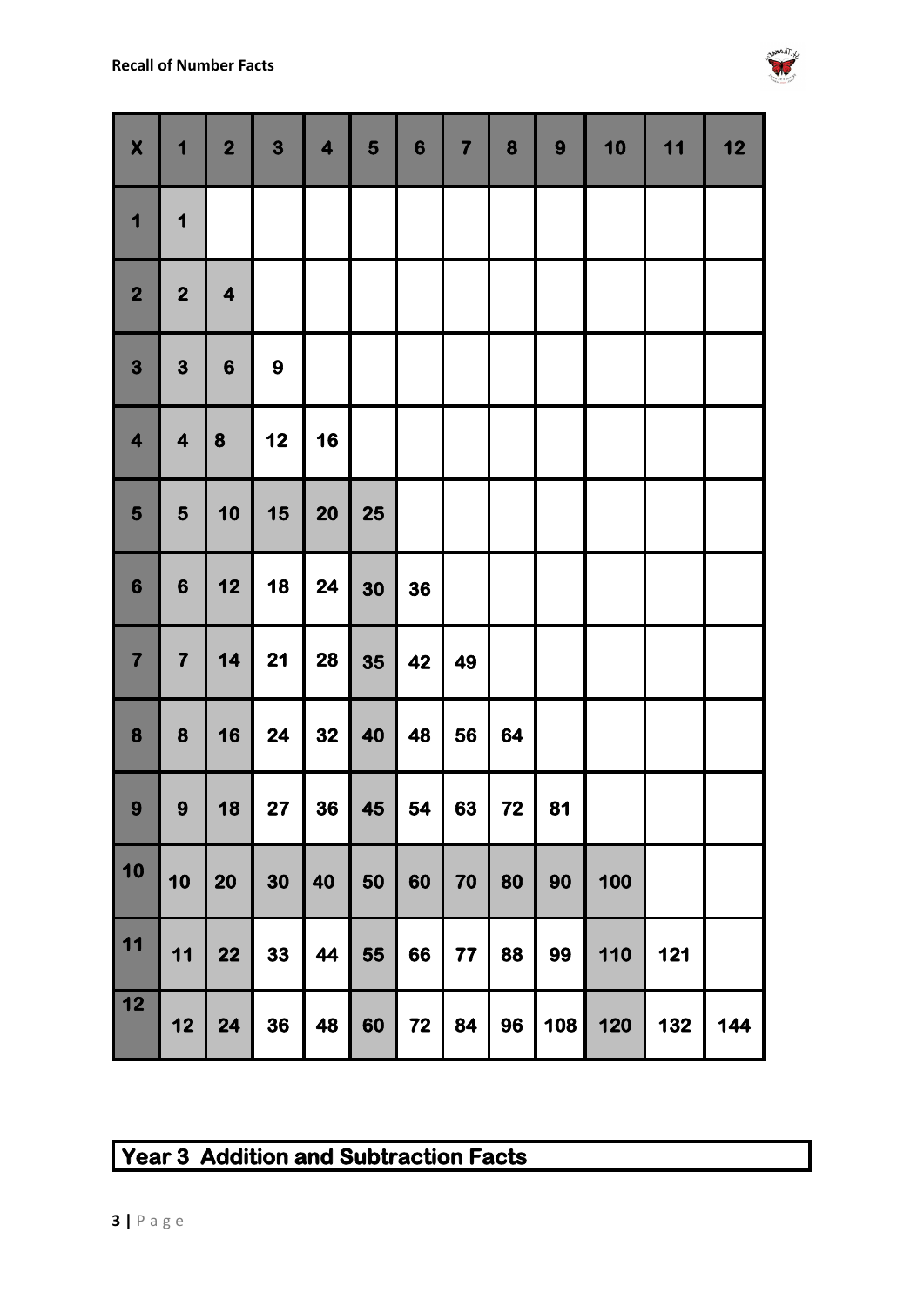

| $\boldsymbol{\mathsf{X}}$ | 1                       | $\overline{\mathbf{2}}$ | $\overline{\mathbf{3}}$ | $\overline{\mathbf{4}}$ | 5  | $6\phantom{1}$ | 7 <sup>1</sup> | 8  | $\boldsymbol{9}$ | 10  | 11  | 12  |
|---------------------------|-------------------------|-------------------------|-------------------------|-------------------------|----|----------------|----------------|----|------------------|-----|-----|-----|
| 1                         | 1                       |                         |                         |                         |    |                |                |    |                  |     |     |     |
| $\overline{\mathbf{2}}$   | $\overline{\mathbf{2}}$ | 4                       |                         |                         |    |                |                |    |                  |     |     |     |
| 3                         | $\mathbf{3}$            | $\boldsymbol{6}$        | $\boldsymbol{9}$        |                         |    |                |                |    |                  |     |     |     |
| $\overline{\mathbf{4}}$   | $\overline{\mathbf{4}}$ | 8                       | 12                      | 16                      |    |                |                |    |                  |     |     |     |
| 5                         | 5                       | 10                      | 15                      | <b>20</b>               | 25 |                |                |    |                  |     |     |     |
| 6                         | $\boldsymbol{6}$        | 12                      | 18                      | 24                      | 30 | 36             |                |    |                  |     |     |     |
| $\overline{\mathbf{7}}$   | $\overline{\mathbf{7}}$ | 14                      | <b>21</b>               | <b>28</b>               | 35 | 42             | 49             |    |                  |     |     |     |
| 8                         | 8                       | 16                      | 24                      | 32                      | 40 | 48             | 56             | 64 |                  |     |     |     |
| 9 <sup>°</sup>            | 9                       | 18                      | 27                      | 36                      | 45 | 54             | 63             | 72 | 81               |     |     |     |
| 10                        | 10                      | 20                      | 30                      | 40                      | 50 | 60             | 70             | 80 | 90               | 100 |     |     |
| $11$                      | 11                      | 22                      | 33                      | 44                      | 55 | 66             | 77             | 88 | 99               | 110 | 121 |     |
| $12$                      | 12                      | 24                      | 36                      | 48                      | 60 | 72             | 84             | 96 | 108              | 120 | 132 | 144 |

### **Year 3 Addition and Subtraction Facts**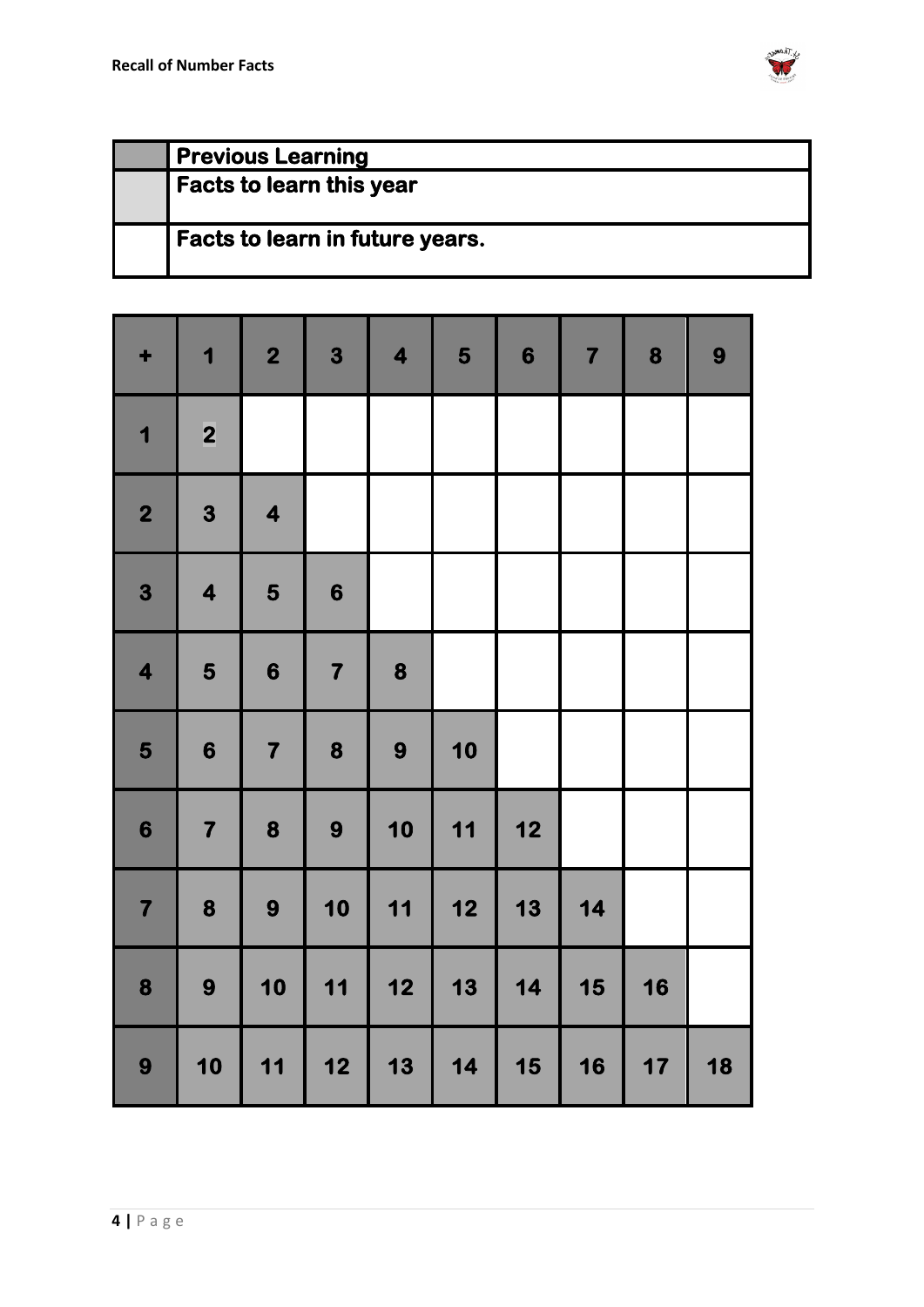

| <b>Previous Learning</b>        |
|---------------------------------|
| <b>Facts to learn this year</b> |
| Facts to learn in future years. |

| ٠                       | 1                       | $\overline{\mathbf{2}}$ | 3                       | $\overline{\mathbf{4}}$ | 5                                                | $\boldsymbol{6}$                                 | $\overline{\mathbf{7}}$ | 8  | 9  |
|-------------------------|-------------------------|-------------------------|-------------------------|-------------------------|--------------------------------------------------|--------------------------------------------------|-------------------------|----|----|
| 1                       | $\overline{\mathbf{2}}$ |                         |                         |                         |                                                  |                                                  |                         |    |    |
| $\overline{\mathbf{2}}$ | $\overline{\mathbf{3}}$ | 4                       |                         |                         |                                                  |                                                  |                         |    |    |
| 3                       | $\overline{\mathbf{4}}$ | 5                       | $\boldsymbol{6}$        |                         |                                                  |                                                  |                         |    |    |
| $\overline{\mathbf{4}}$ | 5                       | $\boldsymbol{6}$        | $\overline{\mathbf{7}}$ | 8                       |                                                  |                                                  |                         |    |    |
| 5                       | $\boldsymbol{6}$        | $\overline{\mathbf{7}}$ | 8                       | 9                       | 10                                               |                                                  |                         |    |    |
| 6                       | $\overline{\mathbf{7}}$ | 8                       | 9                       | 10                      | 11                                               | $\begin{array}{c} \n \textbf{12} \n \end{array}$ |                         |    |    |
| $\overline{\mathbf{7}}$ | 8                       | 9                       | 10                      | 11                      | $\begin{array}{c} \n \textbf{12} \n \end{array}$ | 13                                               | 14                      |    |    |
| 8                       | $\boldsymbol{9}$        | 10                      | 11                      | 12                      | 13                                               | 14                                               | 15                      | 16 |    |
| 9                       | 10                      | 11                      | 12                      | 13                      | 14                                               | 15                                               | 16                      | 17 | 18 |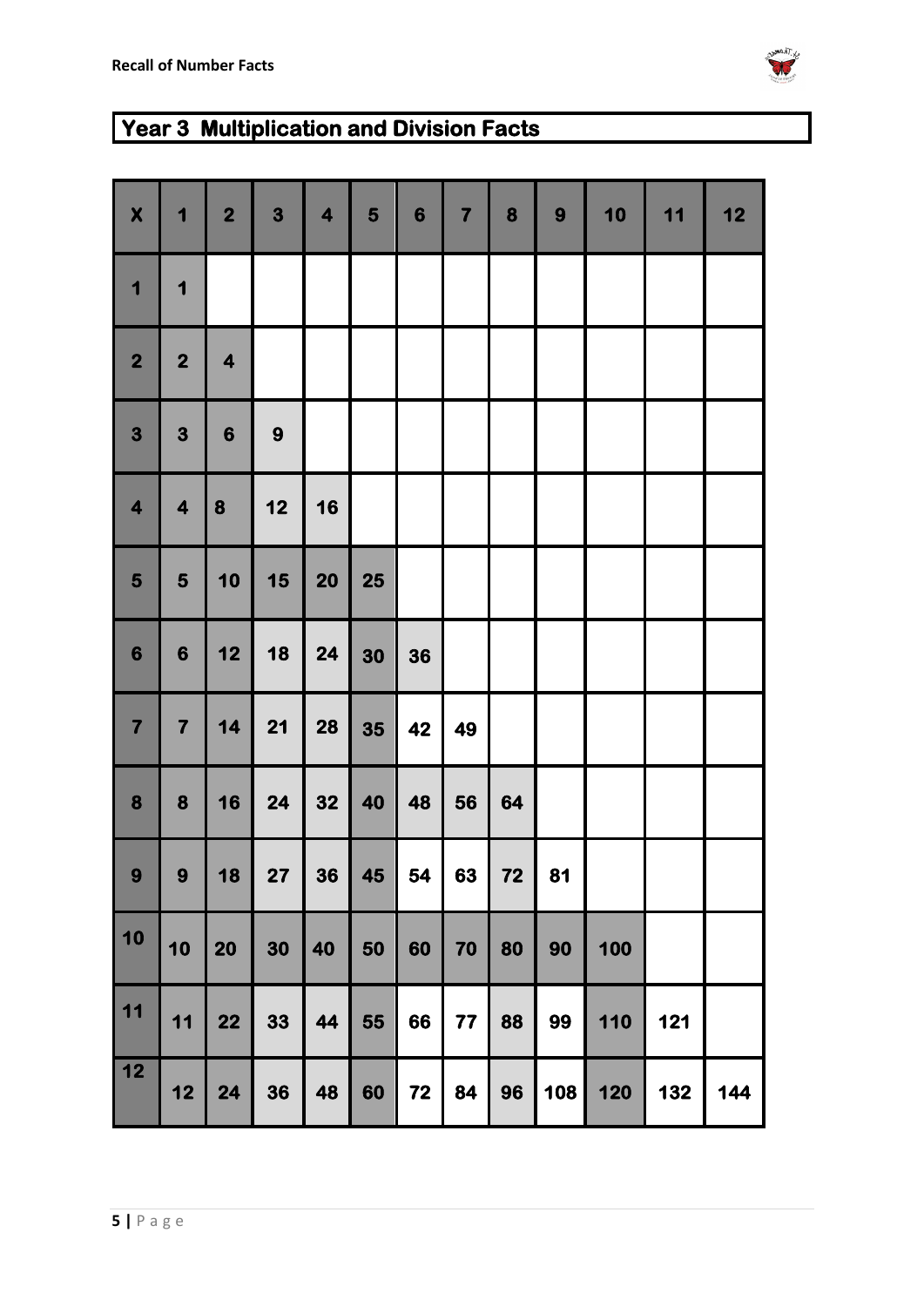

# **Year 3 Multiplication and Division Facts**

| $\boldsymbol{\mathsf{X}}$ | $\mathbf 1$             | $\overline{\mathbf{2}}$ | $\mathbf{3}$ | $\overline{\mathbf{4}}$ | 5         | $6\phantom{1}6$ | $\overline{\mathbf{7}}$ | 8  | 9   | 10  | 11  | 12  |
|---------------------------|-------------------------|-------------------------|--------------|-------------------------|-----------|-----------------|-------------------------|----|-----|-----|-----|-----|
| 1                         | 1                       |                         |              |                         |           |                 |                         |    |     |     |     |     |
| $\overline{\mathbf{2}}$   | $\overline{\mathbf{2}}$ | $\overline{\mathbf{4}}$ |              |                         |           |                 |                         |    |     |     |     |     |
| $\mathbf{3}$              | 3                       | $6\phantom{1}6$         | 9            |                         |           |                 |                         |    |     |     |     |     |
| $\overline{\mathbf{4}}$   | $\overline{\mathbf{4}}$ | 8                       | 12           | 16                      |           |                 |                         |    |     |     |     |     |
| $\overline{\mathbf{5}}$   | 5                       | 10                      | 15           | <b>20</b>               | <b>25</b> |                 |                         |    |     |     |     |     |
| $6\phantom{1}$            | $6\phantom{1}6$         | 12                      | 18           | 24                      | 30        | 36              |                         |    |     |     |     |     |
| $\overline{\mathbf{7}}$   | $\overline{\mathbf{7}}$ | 14                      | 21           | 28                      | 35        | 42              | 49                      |    |     |     |     |     |
| 8                         | $\boldsymbol{8}$        | 16                      | 24           | 32                      | 40        | 48              | 56                      | 64 |     |     |     |     |
| 9 <sup>°</sup>            | $\boldsymbol{9}$        | 18                      | 27           | 36                      | 45        | 54              | 63                      | 72 | 81  |     |     |     |
| $\boxed{10}$              | 10                      | 20                      | 30           | 40                      | 50        | 60              | 70                      | 80 | 90  | 100 |     |     |
| 11                        | 11                      | 22                      | 33           | 44                      | 55        | 66              | 77                      | 88 | 99  | 110 | 121 |     |
| 12                        | 12                      | 24                      | 36           | 48                      | 60        | 72              | 84                      | 96 | 108 | 120 | 132 | 144 |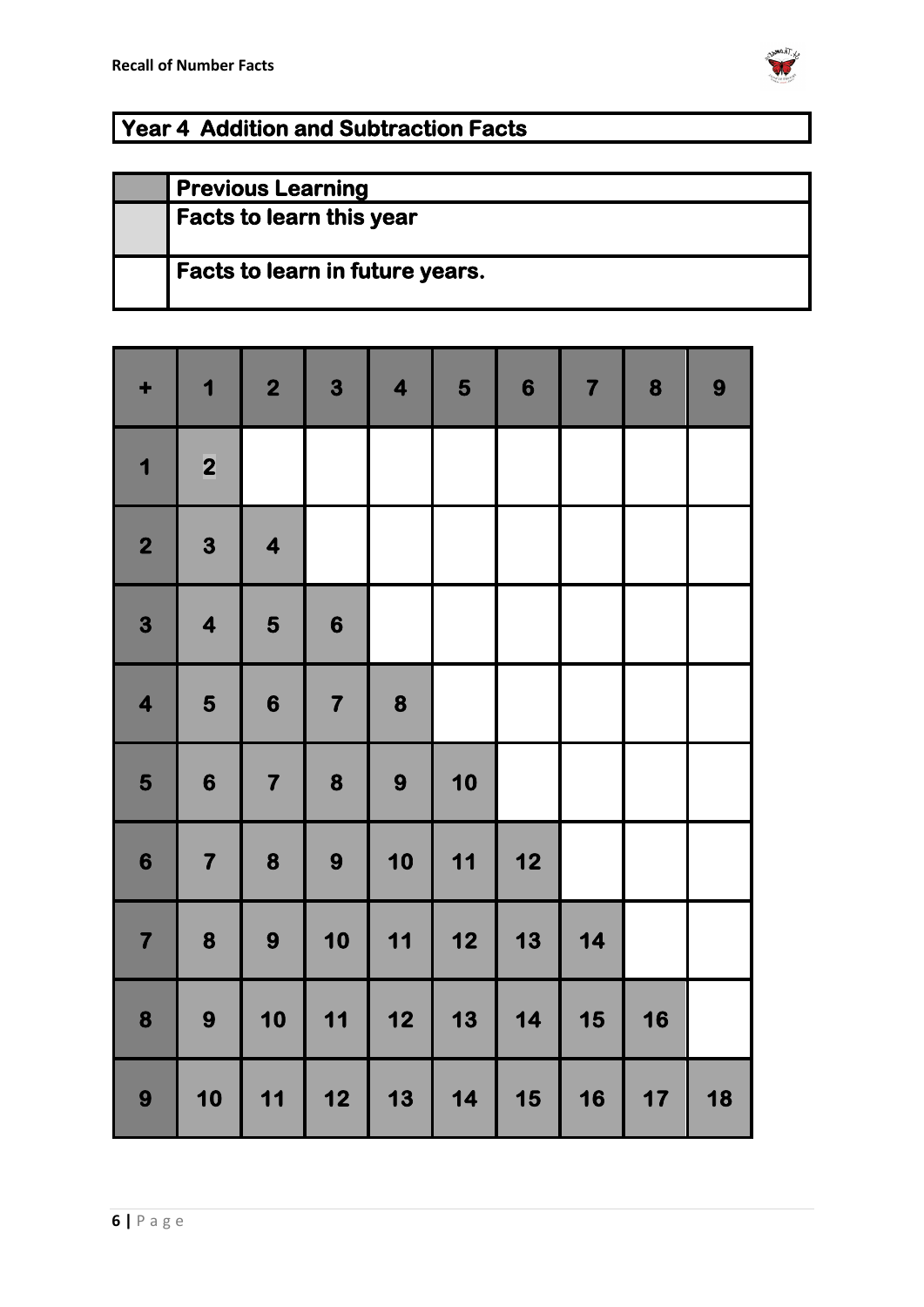

### **Year 4 Addition and Subtraction Facts**

| <b>Previous Learning</b>               |
|----------------------------------------|
| <b>Facts to learn this year</b>        |
| <b>Facts to learn in future years.</b> |

| ٠                       | 1                       | $\overline{\mathbf{2}}$ | 3                                                | $\overline{\mathbf{4}}$                          | 5    | $\boldsymbol{6}$ | $\overline{\mathbf{7}}$ | 8  | 9  |
|-------------------------|-------------------------|-------------------------|--------------------------------------------------|--------------------------------------------------|------|------------------|-------------------------|----|----|
| $\overline{\mathbf{1}}$ | $\overline{\mathbf{2}}$ |                         |                                                  |                                                  |      |                  |                         |    |    |
| $\overline{\mathbf{2}}$ | 3                       | $\overline{\mathbf{4}}$ |                                                  |                                                  |      |                  |                         |    |    |
| 3                       | $\overline{\mathbf{4}}$ | 5                       | $\boldsymbol{6}$                                 |                                                  |      |                  |                         |    |    |
| $\overline{\mathbf{4}}$ | 5                       | $\boldsymbol{6}$        | $\overline{\mathbf{7}}$                          | 8                                                |      |                  |                         |    |    |
| 5                       | $\boldsymbol{6}$        | $\overline{\mathbf{7}}$ | 8                                                | 9                                                | 10   |                  |                         |    |    |
| 6                       | $\overline{\mathbf{7}}$ | 8                       | 9                                                | 10                                               | 11   | 12               |                         |    |    |
| $\overline{\mathbf{7}}$ | 8                       | 9                       | 10                                               | 11                                               | $12$ | 13               | 14                      |    |    |
| 8                       | 9                       | 10                      | 11                                               | $\begin{array}{c} \n \textbf{12} \n \end{array}$ | 13   | 14               | 15                      | 16 |    |
| 9                       | 10                      | $11$                    | $\begin{array}{c} \n \textbf{12} \n \end{array}$ | 13                                               | 14   | 15               | 16                      | 17 | 18 |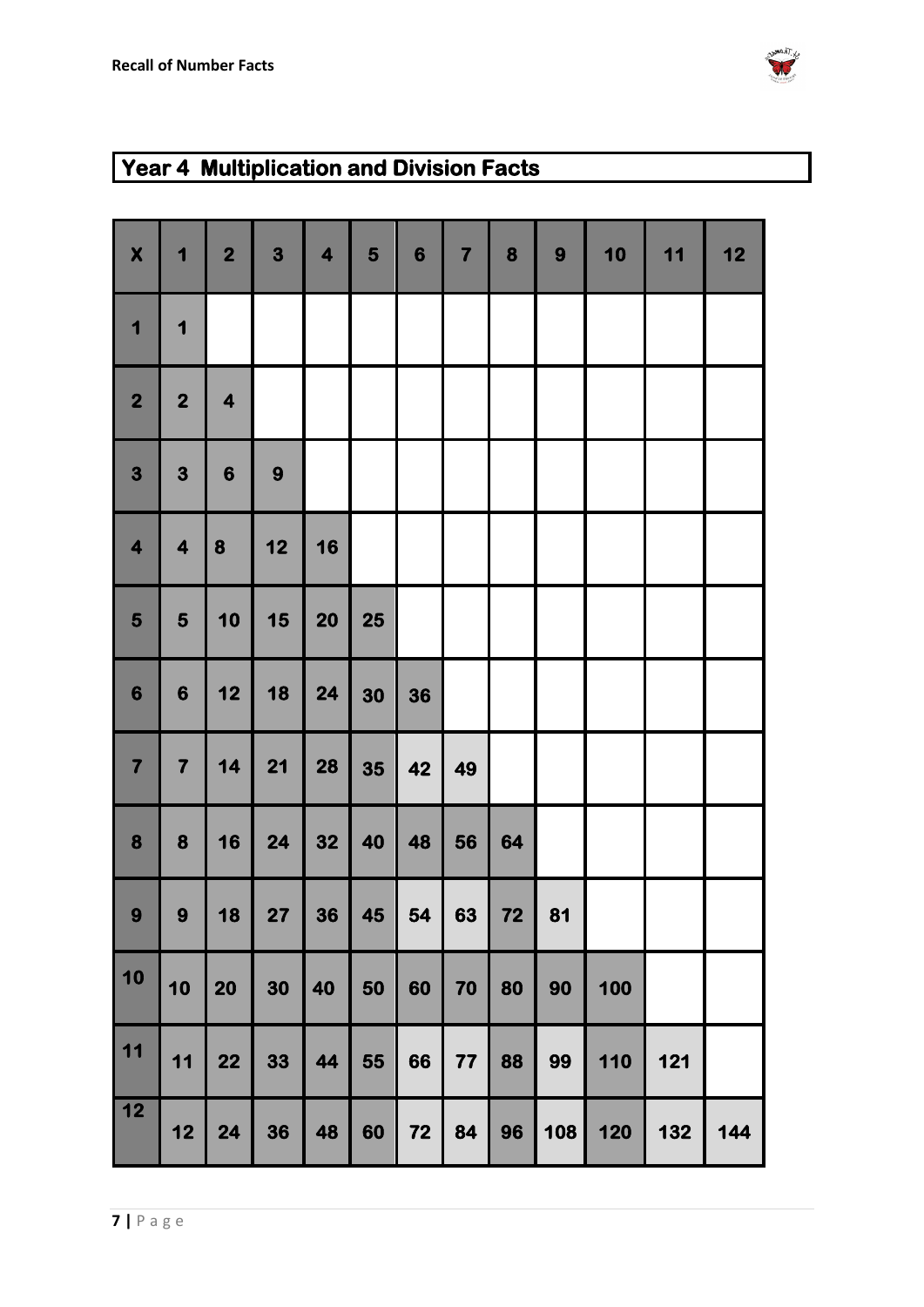

| $\boldsymbol{\mathsf{X}}$ | 1                       | $\overline{\mathbf{2}}$ | 3  | $\overline{\mathbf{4}}$ | 5  | $6\phantom{1}6$ | $\overline{\mathbf{7}}$ | 8  | 9   | 10  | 11  | 12  |
|---------------------------|-------------------------|-------------------------|----|-------------------------|----|-----------------|-------------------------|----|-----|-----|-----|-----|
| 1                         | 1                       |                         |    |                         |    |                 |                         |    |     |     |     |     |
| $\overline{\mathbf{2}}$   | $\overline{\mathbf{2}}$ | $\overline{\mathbf{4}}$ |    |                         |    |                 |                         |    |     |     |     |     |
| 3                         | 3                       | $6\phantom{1}$          | 9  |                         |    |                 |                         |    |     |     |     |     |
| $\overline{\mathbf{4}}$   | $\overline{\mathbf{4}}$ | 8                       | 12 | 16                      |    |                 |                         |    |     |     |     |     |
| 5                         | 5                       | 10                      | 15 | 20                      | 25 |                 |                         |    |     |     |     |     |
| $6\phantom{1}6$           | $6\phantom{1}6$         | 12                      | 18 | 24                      | 30 | 36              |                         |    |     |     |     |     |
| $\overline{\mathbf{7}}$   | $\overline{\mathbf{7}}$ | 14                      | 21 | 28                      | 35 | 42              | 49                      |    |     |     |     |     |
| 8                         | $\boldsymbol{8}$        | 16                      | 24 | 32                      | 40 | 48              | 56                      | 64 |     |     |     |     |
| 9                         | 9                       | 18                      | 27 | 36                      | 45 | 54              | 63                      | 72 | 81  |     |     |     |
| $\boxed{10}$              | 10                      | 20                      | 30 | 40                      | 50 | 60              | 70                      | 80 | 90  | 100 |     |     |
| $11$                      | $11$                    | 22                      | 33 | 44                      | 55 | 66              | $77$                    | 88 | 99  | 110 | 121 |     |
| $\boxed{12}$              | 12                      | 24                      | 36 | 48                      | 60 | 72              | 84                      | 96 | 108 | 120 | 132 | 144 |

### **Year 4 Multiplication and Division Facts**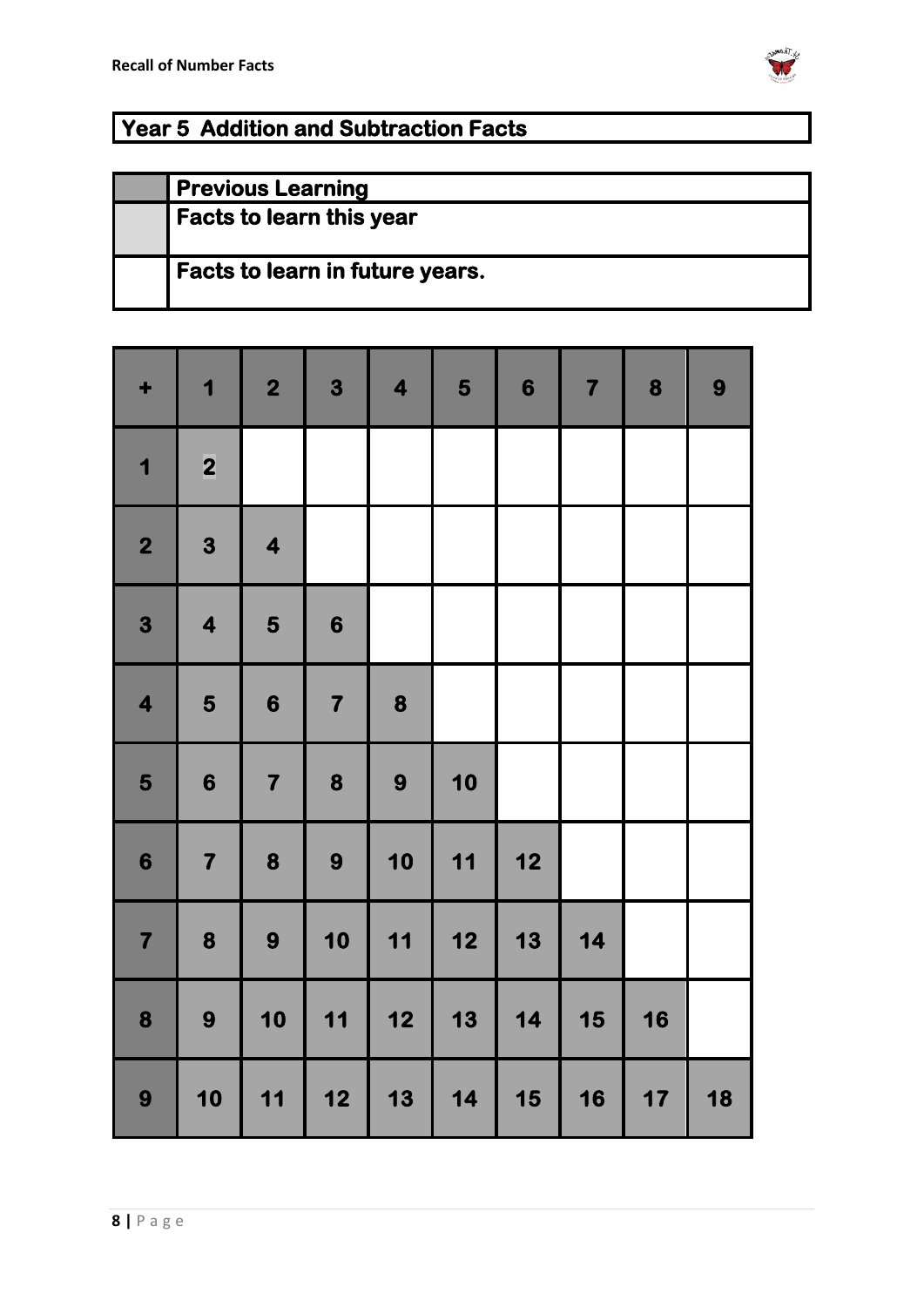

### **Year 5 Addition and Subtraction Facts**

| <b>Previous Learning</b>               |
|----------------------------------------|
| <b>Facts to learn this year</b>        |
| <b>Facts to learn in future years.</b> |

| ٠                       | 1                       | $\overline{\mathbf{2}}$ | 3                       | $\overline{\mathbf{4}}$                          | 5    | 6    | $\overline{\mathbf{7}}$ | 8  | 9  |
|-------------------------|-------------------------|-------------------------|-------------------------|--------------------------------------------------|------|------|-------------------------|----|----|
| $\overline{\mathbf{1}}$ | $\overline{\mathbf{2}}$ |                         |                         |                                                  |      |      |                         |    |    |
| $\overline{\mathbf{2}}$ | 3                       | $\overline{\mathbf{4}}$ |                         |                                                  |      |      |                         |    |    |
| 3                       | $\overline{\mathbf{4}}$ | 5                       | $\boldsymbol{6}$        |                                                  |      |      |                         |    |    |
| $\overline{\mathbf{4}}$ | 5                       | 6                       | $\overline{\mathbf{7}}$ | 8                                                |      |      |                         |    |    |
| 5                       | $\boldsymbol{6}$        | $\overline{\mathbf{7}}$ | 8                       | 9                                                | 10   |      |                         |    |    |
| $\boldsymbol{6}$        | $\overline{\mathbf{7}}$ | 8                       | 9                       | 10                                               | 11   | $12$ |                         |    |    |
| $\overline{\mathbf{7}}$ | 8                       | 9                       | 10                      | 11                                               | $12$ | 13   | 14                      |    |    |
| 8                       | 9                       | 10                      | 11                      | $\begin{array}{c} \n \textbf{12} \n \end{array}$ | 13   | 14   | 15                      | 16 |    |
| 9                       | 10                      | 11                      | 12                      | 13                                               | 14   | 15   | 16                      | 17 | 18 |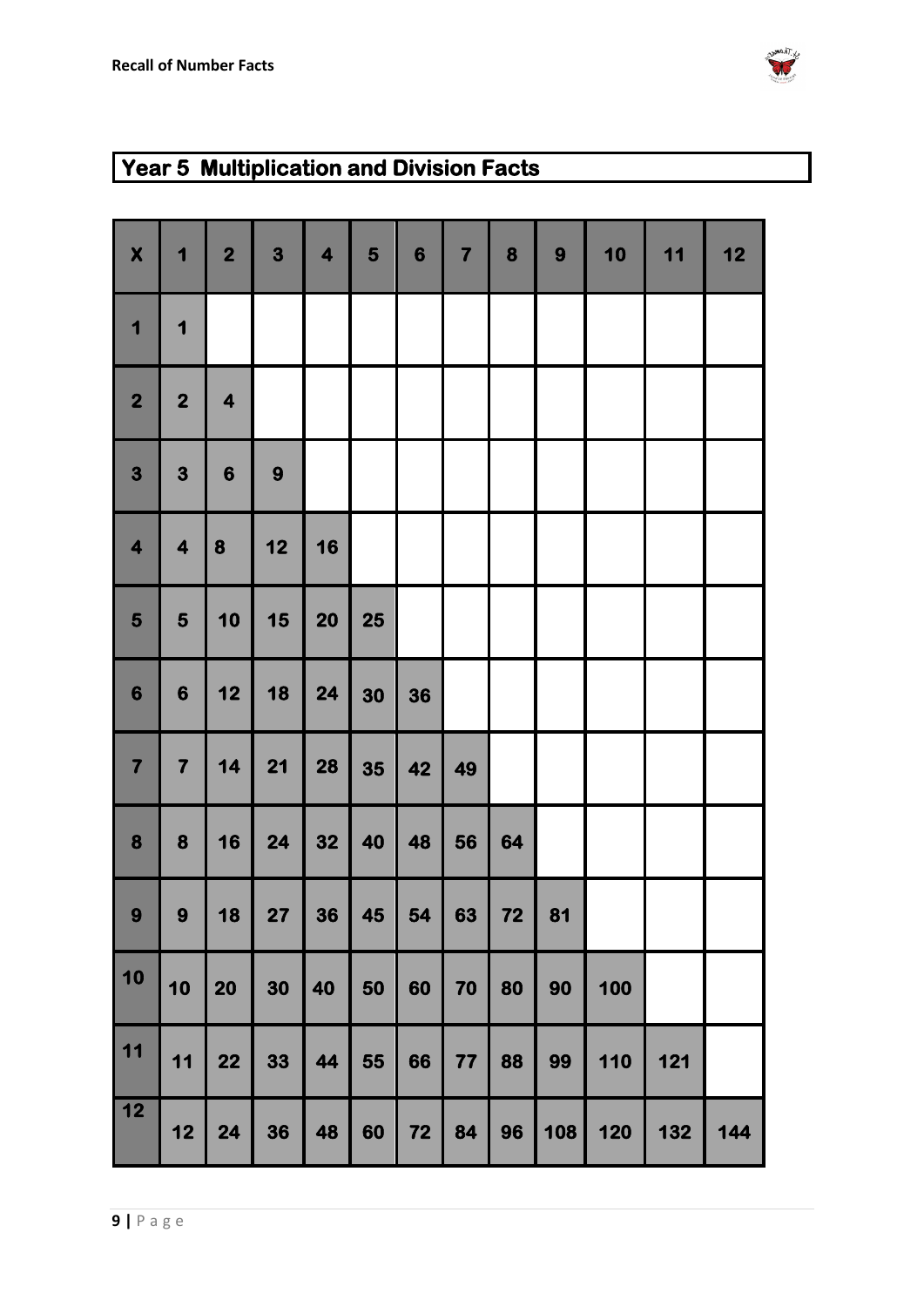

### **Year 5 Multiplication and Division Facts**

| $\boldsymbol{\mathsf{X}}$ | 1                       | $\overline{\mathbf{2}}$ | 3         | $\overline{\mathbf{4}}$ | 5  | $6\phantom{1}6$ | $\overline{\mathbf{7}}$ | 8  | 9   | 10  | 11  | 12  |
|---------------------------|-------------------------|-------------------------|-----------|-------------------------|----|-----------------|-------------------------|----|-----|-----|-----|-----|
| $\overline{\mathbf{1}}$   | 1                       |                         |           |                         |    |                 |                         |    |     |     |     |     |
| $\overline{\mathbf{2}}$   | $\mathbf{2}$            | $\overline{\mathbf{4}}$ |           |                         |    |                 |                         |    |     |     |     |     |
| $\overline{\mathbf{3}}$   | 3                       | $6\phantom{1}6$         | 9         |                         |    |                 |                         |    |     |     |     |     |
| $\overline{\mathbf{4}}$   | $\overline{\mathbf{4}}$ | 8                       | 12        | 16                      |    |                 |                         |    |     |     |     |     |
| 5                         | 5                       | 10                      | 15        | 20                      | 25 |                 |                         |    |     |     |     |     |
| $6\phantom{1}6$           | $\boldsymbol{6}$        | 12                      | 18        | 24                      | 30 | 36              |                         |    |     |     |     |     |
| $\overline{\mathbf{7}}$   | $\overline{\mathbf{7}}$ | 14                      | 21        | 28                      | 35 | 42              | 49                      |    |     |     |     |     |
| 8                         | $\boldsymbol{8}$        | 16                      | 24        | 32                      | 40 | 48              | 56                      | 64 |     |     |     |     |
| 9                         | 9                       | 18                      | <b>27</b> | 36                      | 45 | 54              | 63                      | 72 | 81  |     |     |     |
| 10                        | 10                      | 20                      | 30        | 40                      | 50 | 60              | 70                      | 80 | 90  | 100 |     |     |
| $11$                      | 11                      | 22                      | 33        | 44                      | 55 | 66              | $77$                    | 88 | 99  | 110 | 121 |     |
| $\overline{12}$           | 12                      | 24                      | 36        | 48                      | 60 | 72              | 84                      | 96 | 108 | 120 | 132 | 144 |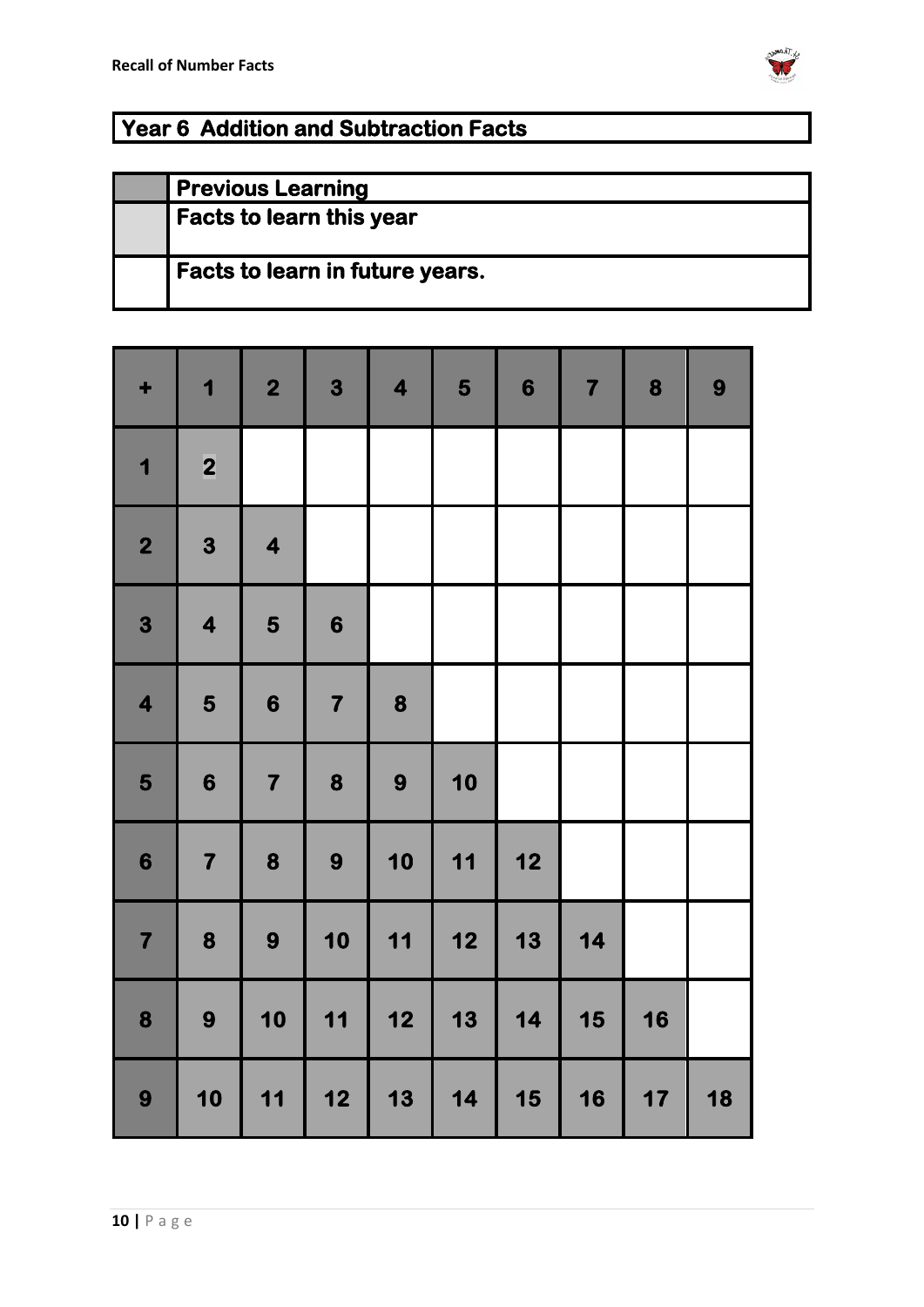

### **Year 6 Addition and Subtraction Facts**

| <b>Previous Learning</b>               |
|----------------------------------------|
| <b>Facts to learn this year</b>        |
| <b>Facts to learn in future years.</b> |

| ٠                       | 1                       | $\overline{\mathbf{2}}$ | 3                       | $\overline{\mathbf{4}}$                          | 5                                                | $\boldsymbol{6}$ | $\overline{\mathbf{7}}$ | 8  | 9  |
|-------------------------|-------------------------|-------------------------|-------------------------|--------------------------------------------------|--------------------------------------------------|------------------|-------------------------|----|----|
| $\overline{\mathbf{1}}$ | $\overline{\mathbf{2}}$ |                         |                         |                                                  |                                                  |                  |                         |    |    |
| 2                       | 3                       | $\overline{\mathbf{4}}$ |                         |                                                  |                                                  |                  |                         |    |    |
| 3                       | $\overline{\mathbf{4}}$ | 5                       | $\boldsymbol{6}$        |                                                  |                                                  |                  |                         |    |    |
| $\overline{\mathbf{4}}$ | 5                       | $\boldsymbol{6}$        | $\overline{\mathbf{7}}$ | 8                                                |                                                  |                  |                         |    |    |
| 5                       | $\boldsymbol{6}$        | $\overline{\mathbf{7}}$ | 8                       | 9                                                | 10                                               |                  |                         |    |    |
| $\boldsymbol{6}$        | $\overline{\mathbf{7}}$ | 8                       | 9                       | 10                                               | 11                                               | $12$             |                         |    |    |
| $\overline{7}$          | 8                       | 9                       | 10                      | 11                                               | $\begin{array}{c} \n \textbf{12} \n \end{array}$ | 13               | 14                      |    |    |
| 8                       | 9                       | 10                      | 11                      | $\begin{array}{c} \n \textbf{12} \n \end{array}$ | 13                                               | 14               | 15                      | 16 |    |
| 9                       | 10                      | 11                      | 12                      | 13                                               | 14                                               | 15               | 16                      | 17 | 18 |